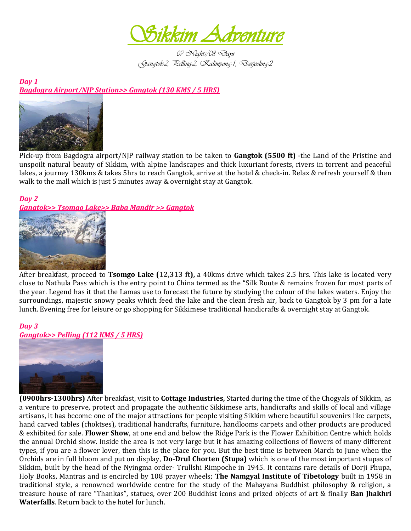

*07 Nights/08 Days Gangtok-2, Pelling-2, Kalimpong-1, Darjeeling-2* 

*Day 1 Bagdogra Airport/NJP Station>> Gangtok (130 KMS / 5 HRS)* 



Pick-up from Bagdogra airport/NJP railway station to be taken to **Gangtok (5500 ft)** -the Land of the Pristine and unspoilt natural beauty of Sikkim, with alpine landscapes and thick luxuriant forests, rivers in torrent and peaceful lakes, a journey 130kms & takes 5hrs to reach Gangtok, arrive at the hotel & check-in. Relax & refresh yourself & then walk to the mall which is just 5 minutes away & overnight stay at Gangtok.

# *Day 2*

*Gangtok>> Tsomgo Lake>> Baba Mandir >> Gangtok* 



After breakfast, proceed to **Tsomgo Lake (12,313 ft),** a 40kms drive which takes 2.5 hrs. This lake is located very close to Nathula Pass which is the entry point to China termed as the "Silk Route & remains frozen for most parts of the year. Legend has it that the Lamas use to forecast the future by studying the colour of the lakes waters. Enjoy the surroundings, majestic snowy peaks which feed the lake and the clean fresh air, back to Gangtok by 3 pm for a late lunch. Evening free for leisure or go shopping for Sikkimese traditional handicrafts & overnight stay at Gangtok.

### *Day 3 Gangtok>> Pelling (112 KMS / 5 HRS)*



**(0900hrs-1300hrs)** After breakfast, visit to **Cottage Industries,** Started during the time of the Chogyals of Sikkim, as a venture to preserve, protect and propagate the authentic Sikkimese arts, handicrafts and skills of local and village artisans, it has become one of the major attractions for people visiting Sikkim where beautiful souvenirs like carpets, hand carved tables (choktses), traditional handcrafts, furniture, handlooms carpets and other products are produced & exhibited for sale. **Flower Show**, at one end and below the Ridge Park is the Flower Exhibition Centre which holds the annual Orchid show. Inside the area is not very large but it has amazing collections of flowers of many different types, if you are a flower lover, then this is the place for you. But the best time is between March to June when the Orchids are in full bloom and put on display, **Do-Drul Chorten (Stupa)** which is one of the most important stupas of Sikkim, built by the head of the Nyingma order- Trullshi Rimpoche in 1945. It contains rare details of Dorji Phupa, Holy Books, Mantras and is encircled by 108 prayer wheels; **The Namgyal Institute of Tibetology** built in 1958 in traditional style, a renowned worldwide centre for the study of the Mahayana Buddhist philosophy & religion, a treasure house of rare "Thankas", statues, over 200 Buddhist icons and prized objects of art & finally **Ban Jhakhri Waterfalls**. Return back to the hotel for lunch.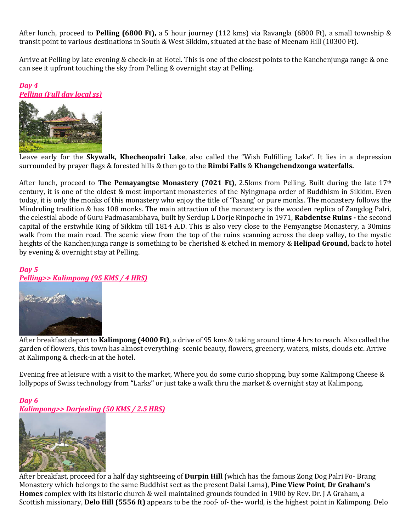After lunch, proceed to **Pelling (6800 Ft),** a 5 hour journey (112 kms) via Ravangla (6800 Ft), a small township & transit point to various destinations in South & West Sikkim, situated at the base of Meenam Hill (10300 Ft).

Arrive at Pelling by late evening & check-in at Hotel. This is one of the closest points to the Kanchenjunga range & one can see it upfront touching the sky from Pelling & overnight stay at Pelling.

# *Day 4*

### *Pelling (Full day local ss)*



Leave early for the **Skywalk, Khecheopalri Lake**, also called the "Wish Fulfilling Lake". It lies in a depression surrounded by prayer flags & forested hills & then go to the **Rimbi Falls** & **Khangchendzonga waterfalls.**

After lunch, proceed to **The Pemayangtse Monastery (7021 Ft)**, 2.5kms from Pelling. Built during the late 17th century, it is one of the oldest & most important monasteries of the Nyingmapa order of Buddhism in Sikkim. Even today, it is only the monks of this monastery who enjoy the title of 'Tasang' or pure monks. The monastery follows the Mindroling tradition & has 108 monks. The main attraction of the monastery is the wooden replica of Zangdog Palri, the celestial abode of Guru Padmasambhava, built by Serdup L Dorje Rinpoche in 1971, **Rabdentse Ruins -** the second capital of the erstwhile King of Sikkim till 1814 A.D. This is also very close to the Pemyangtse Monastery, a 30mins walk from the main road. The scenic view from the top of the ruins scanning across the deep valley, to the mystic heights of the Kanchenjunga range is something to be cherished & etched in memory & **Helipad Ground,** back to hotel by evening & overnight stay at Pelling.

#### *Day 5*

## *Pelling>> Kalimpong (95 KMS / 4 HRS)*



After breakfast depart to **Kalimpong (4000 Ft)**, a drive of 95 kms & taking around time 4 hrs to reach. Also called the garden of flowers, this town has almost everything- scenic beauty, flowers, greenery, waters, mists, clouds etc. Arrive at Kalimpong & check-in at the hotel.

Evening free at leisure with a visit to the market, Where you do some curio shopping, buy some Kalimpong Cheese & lollypops of Swiss technology from **"**Larks**"** or just take a walk thru the market & overnight stay at Kalimpong.

## *Day 6*

*Kalimpong>> Darjeeling (50 KMS / 2.5 HRS)* 



After breakfast, proceed for a half day sightseeing of **Durpin Hill** (which has the famous Zong Dog Palri Fo- Brang Monastery which belongs to the same Buddhist sect as the present Dalai Lama), **Pine View Point**, **Dr Graham's Homes** complex with its historic church & well maintained grounds founded in 1900 by Rev. Dr. J A Graham, a Scottish missionary, **Delo Hill (5556 ft)** appears to be the roof- of- the- world, is the highest point in Kalimpong. Delo